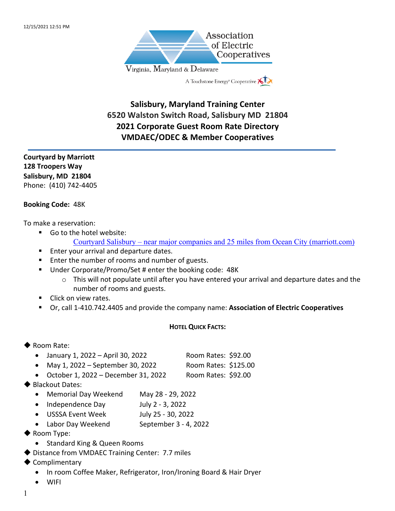

# **Salisbury, Maryland Training Center 6520 Walston Switch Road, Salisbury MD 21804 2021 Corporate Guest Room Rate Directory VMDAEC/ODEC & Member Cooperatives**

**Courtyard by Marriott 128 Troopers Way Salisbury, MD 21804** Phone: (410) 742-4405

### **Booking Code:** 48K

To make a reservation:

- Go to the hotel website:
	- Courtyard Salisbury near major companies and 25 miles from Ocean City (marriott.com)
	- Enter your arrival and departure dates.
	- Enter the number of rooms and number of guests.
	- Under Corporate/Promo/Set # enter the booking code: 48K
		- o This will not populate until after you have entered your arrival and departure dates and the number of rooms and guests.
	- Click on view rates.
	- § Or, call 1-410.742.4405 and provide the company name: **Association of Electric Cooperatives**

#### **HOTEL QUICK FACTS:**

# $\blacktriangleright$  Room Rate:

- January 1, 2022 April 30, 2022 Room Rates: \$92.00
- May 1, 2022 September 30, 2022 Room Rates: \$125.00
- October 1, 2022 December 31, 2022 Room Rates: \$92.00
- Blackout Dates:
	- Memorial Day Weekend May 28 29, 2022
	- Independence Day July 2 3, 2022
	- USSSA Event Week July 25 30, 2022
	- Labor Day Weekend September 3 4, 2022
- $\blacklozenge$  Room Type:
	- Standard King & Queen Rooms
- ◆ Distance from VMDAEC Training Center: 7.7 miles
- $\blacklozenge$  Complimentary
	- In room Coffee Maker, Refrigerator, Iron/Ironing Board & Hair Dryer
	- WIFI
- 1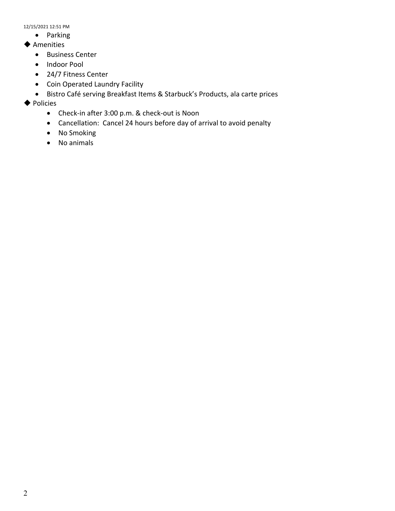12/15/2021 12:51 PM

- Parking
- $\blacklozenge$  Amenities
	- Business Center
	- Indoor Pool
	- 24/7 Fitness Center
	- Coin Operated Laundry Facility
	- Bistro Café serving Breakfast Items & Starbuck's Products, ala carte prices
- $\blacklozenge$  Policies
	- Check-in after 3:00 p.m. & check-out is Noon
	- Cancellation: Cancel 24 hours before day of arrival to avoid penalty
	- No Smoking
	- No animals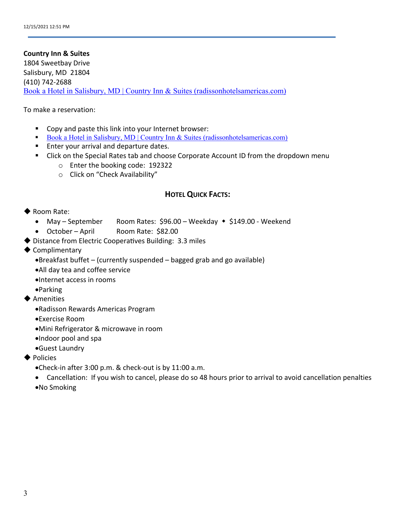#### **Country Inn & Suites**

1804 Sweetbay Drive Salisbury, MD 21804 (410) 742-2688 Book a Hotel in Salisbury, MD | Country Inn & Suites (radissonhotelsamericas.com)

#### To make a reservation:

- Copy and paste this link into your Internet browser:
- Book a Hotel in Salisbury, MD | Country Inn & Suites (radissonhotelsamericas.com)
- Enter your arrival and departure dates.
- Click on the Special Rates tab and choose Corporate Account ID from the dropdown menu
	- o Enter the booking code: 192322
	- o Click on "Check Availability"

# **HOTEL QUICK FACTS:**

# $\blacklozenge$  Room Rate:

- May September Room Rates:  $$96.00 Weekday$   $*$  \$149.00 Weekend
- October April Room Rate: \$82.00
- $\blacklozenge$  Distance from Electric Cooperatives Building: 3.3 miles
- $\blacklozenge$  Complimentary
	- •Breakfast buffet (currently suspended bagged grab and go available)
	- •All day tea and coffee service
	- •Internet access in rooms
	- •Parking
- $\blacklozenge$  Amenities
	- •Radisson Rewards Americas Program
	- •Exercise Room
	- •Mini Refrigerator & microwave in room
	- •Indoor pool and spa
	- •Guest Laundry
- $\blacklozenge$  Policies
	- •Check-in after 3:00 p.m. & check-out is by 11:00 a.m.
	- Cancellation: If you wish to cancel, please do so 48 hours prior to arrival to avoid cancellation penalties •No Smoking